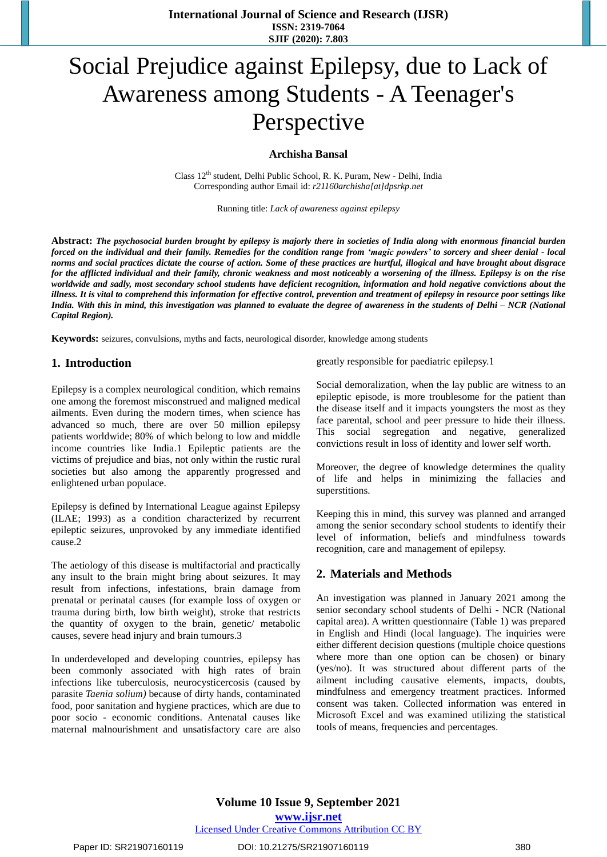**International Journal of Science and Research (IJSR) ISSN: 2319-7064 SJIF (2020): 7.803**

# Social Prejudice against Epilepsy, due to Lack of Awareness among Students - A Teenager's Perspective

#### **Archisha Bansal**

Class  $12^{th}$  student, Delhi Public School, R. K. Puram, New - Delhi, India Corresponding author Email id: *[r21160archisha\[at\]dpsrkp.net](mailto:r21160archisha@dpsrkp.net)*

Running title: *Lack of awareness against epilepsy*

Abstract: The psychosocial burden brought by epilepsy is majorly there in societies of India along with enormous financial burden forced on the individual and their family. Remedies for the condition range from 'magic powders' to sorcery and sheer denial - local norms and social practices dictate the course of action. Some of these practices are hurtful, illogical and have brought about disgrace for the afflicted individual and their family, chronic weakness and most noticeably a worsening of the illness. Epilepsy is on the rise worldwide and sadly, most secondary school students have deficient recognition, information and hold negative convictions about the illness. It is vital to comprehend this information for effective control, prevention and treatment of epilepsy in resource poor settings like India. With this in mind, this investigation was planned to evaluate the degree of awareness in the students of Delhi - NCR (National *Capital Region).* 

**Keywords:** seizures, convulsions, myths and facts, neurological disorder, knowledge among students

#### **1. Introduction**

Epilepsy is a complex neurological condition, which remains one among the foremost misconstrued and maligned medical ailments. Even during the modern times, when science has advanced so much, there are over 50 million epilepsy patients worldwide; 80% of which belong to low and middle income countries like India.1 Epileptic patients are the victims of prejudice and bias, not only within the rustic rural societies but also among the apparently progressed and enlightened urban populace.

Epilepsy is defined by International League against Epilepsy (ILAE; 1993) as a condition characterized by recurrent epileptic seizures, unprovoked by any immediate identified cause.2

The aetiology of this disease is multifactorial and practically any insult to the brain might bring about seizures. It may result from infections, infestations, brain damage from prenatal or perinatal causes (for example loss of oxygen or trauma during birth, low birth weight), stroke that restricts the quantity of oxygen to the brain, genetic/ metabolic causes, severe head injury and brain tumours.3

In underdeveloped and developing countries, epilepsy has been commonly associated with high rates of brain infections like tuberculosis, neurocysticercosis (caused by parasite *Taenia solium)* because of dirty hands, contaminated food, poor sanitation and hygiene practices, which are due to poor socio - economic conditions. Antenatal causes like maternal malnourishment and unsatisfactory care are also greatly responsible for paediatric epilepsy.1

Social demoralization, when the lay public are witness to an epileptic episode, is more troublesome for the patient than the disease itself and it impacts youngsters the most as they face parental, school and peer pressure to hide their illness. This social segregation and negative, generalized convictions result in loss of identity and lower self worth.

Moreover, the degree of knowledge determines the quality of life and helps in minimizing the fallacies and superstitions.

Keeping this in mind, this survey was planned and arranged among the senior secondary school students to identify their level of information, beliefs and mindfulness towards recognition, care and management of epilepsy.

## **2. Materials and Methods**

An investigation was planned in January 2021 among the senior secondary school students of Delhi - NCR (National capital area). A written questionnaire (Table 1) was prepared in English and Hindi (local language). The inquiries were either different decision questions (multiple choice questions where more than one option can be chosen) or binary (yes/no). It was structured about different parts of the ailment including causative elements, impacts, doubts, mindfulness and emergency treatment practices. Informed consent was taken. Collected information was entered in Microsoft Excel and was examined utilizing the statistical tools of means, frequencies and percentages.

**Volume 10 Issue 9, September 2021 www.ijsr.net** Licensed Under Creative Commons Attribution CC BY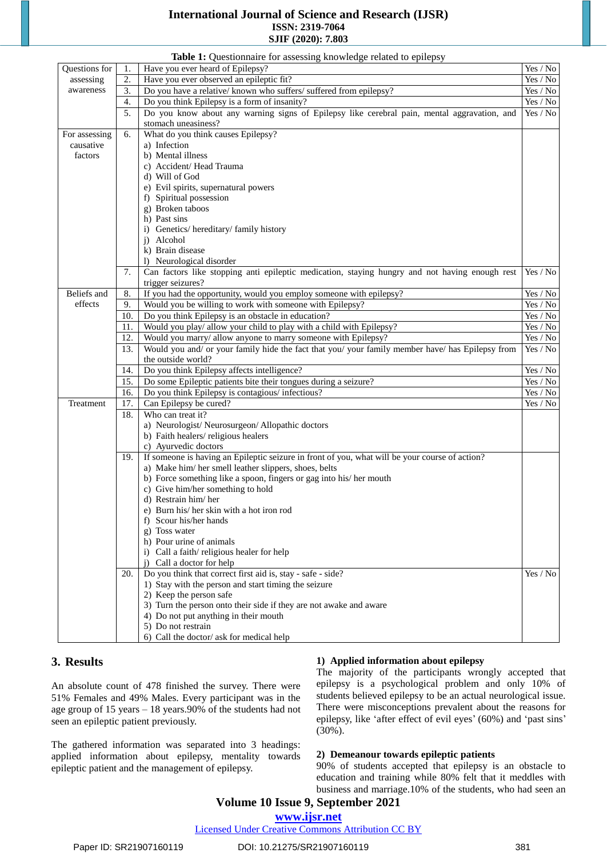## **International Journal of Science and Research (IJSR) ISSN: 2319-7064 SJIF (2020): 7.803**

|               |                                                                                             | Table 1: Questionnaire for assessing knowledge related to epilepsy                                                     |                                        |  |  |
|---------------|---------------------------------------------------------------------------------------------|------------------------------------------------------------------------------------------------------------------------|----------------------------------------|--|--|
| Questions for | 1.                                                                                          | Have you ever heard of Epilepsy?                                                                                       | $\operatorname{Yes}/\operatorname{No}$ |  |  |
| assessing     | 2.                                                                                          | Have you ever observed an epileptic fit?                                                                               |                                        |  |  |
| awareness     | 3.                                                                                          | Do you have a relative/known who suffers/ suffered from epilepsy?<br>Yes / No                                          |                                        |  |  |
|               | 4.                                                                                          | Do you think Epilepsy is a form of insanity?                                                                           |                                        |  |  |
|               | Do you know about any warning signs of Epilepsy like cerebral pain, mental aggravation, and | $\mathrm{Yes}\,/\,\mathrm{No}$<br>Yes / No                                                                             |                                        |  |  |
|               | 5.                                                                                          | stomach uneasiness?                                                                                                    |                                        |  |  |
| For assessing | 6.                                                                                          | What do you think causes Epilepsy?                                                                                     |                                        |  |  |
| causative     |                                                                                             | a) Infection                                                                                                           |                                        |  |  |
| factors       |                                                                                             | b) Mental illness                                                                                                      |                                        |  |  |
|               | c) Accident/Head Trauma<br>d) Will of God<br>e) Evil spirits, supernatural powers           |                                                                                                                        |                                        |  |  |
|               |                                                                                             |                                                                                                                        |                                        |  |  |
|               |                                                                                             |                                                                                                                        |                                        |  |  |
|               |                                                                                             | f) Spiritual possession                                                                                                |                                        |  |  |
|               | g) Broken taboos                                                                            |                                                                                                                        |                                        |  |  |
|               |                                                                                             | h) Past sins                                                                                                           |                                        |  |  |
|               |                                                                                             | i) Genetics/hereditary/family history                                                                                  |                                        |  |  |
|               |                                                                                             | j) Alcohol                                                                                                             |                                        |  |  |
|               |                                                                                             | k) Brain disease                                                                                                       |                                        |  |  |
|               |                                                                                             | 1) Neurological disorder                                                                                               |                                        |  |  |
|               | 7.                                                                                          | Can factors like stopping anti epileptic medication, staying hungry and not having enough rest                         | Yes / No                               |  |  |
|               |                                                                                             | trigger seizures?                                                                                                      |                                        |  |  |
| Beliefs and   | 8.                                                                                          | If you had the opportunity, would you employ someone with epilepsy?                                                    | Yes / No                               |  |  |
| effects       | 9.                                                                                          | Would you be willing to work with someone with Epilepsy?                                                               | Yes / No                               |  |  |
|               | 10.                                                                                         | Do you think Epilepsy is an obstacle in education?                                                                     | Yes / No                               |  |  |
|               | 11.                                                                                         | Would you play/ allow your child to play with a child with Epilepsy?                                                   | Yes / No                               |  |  |
|               | 12.                                                                                         | Would you marry/ allow anyone to marry someone with Epilepsy?                                                          | Yes / No                               |  |  |
|               | 13.                                                                                         | Would you and/ or your family hide the fact that you/ your family member have/ has Epilepsy from                       | Yes / No                               |  |  |
|               |                                                                                             | the outside world?                                                                                                     |                                        |  |  |
|               | 14.                                                                                         | Do you think Epilepsy affects intelligence?                                                                            | $\mbox{Yes}\ / \mbox{No}$              |  |  |
|               | 15.                                                                                         | Do some Epileptic patients bite their tongues during a seizure?                                                        | Yes / No                               |  |  |
|               | 16.                                                                                         | Do you think Epilepsy is contagious/infectious?                                                                        | $\mathrm{Yes}\,/\,\mathrm{No}$         |  |  |
| Treatment     |                                                                                             |                                                                                                                        |                                        |  |  |
|               | 17.<br>18.                                                                                  | Can Epilepsy be cured?<br>Who can treat it?                                                                            | Yes / No                               |  |  |
|               |                                                                                             |                                                                                                                        |                                        |  |  |
|               |                                                                                             | a) Neurologist/ Neurosurgeon/ Allopathic doctors                                                                       |                                        |  |  |
|               |                                                                                             | b) Faith healers/religious healers                                                                                     |                                        |  |  |
|               |                                                                                             | c) Ayurvedic doctors<br>If someone is having an Epileptic seizure in front of you, what will be your course of action? |                                        |  |  |
|               | 19.                                                                                         |                                                                                                                        |                                        |  |  |
|               |                                                                                             | a) Make him/her smell leather slippers, shoes, belts                                                                   |                                        |  |  |
|               |                                                                                             | b) Force something like a spoon, fingers or gag into his/her mouth                                                     |                                        |  |  |
|               |                                                                                             | c) Give him/her something to hold                                                                                      |                                        |  |  |
|               |                                                                                             | d) Restrain him/her                                                                                                    |                                        |  |  |
|               |                                                                                             | e) Burn his/her skin with a hot iron rod                                                                               |                                        |  |  |
|               |                                                                                             | f) Scour his/her hands<br>g) Toss water                                                                                |                                        |  |  |
|               |                                                                                             |                                                                                                                        |                                        |  |  |
|               |                                                                                             | h) Pour urine of animals                                                                                               |                                        |  |  |
|               |                                                                                             | i) Call a faith/religious healer for help                                                                              |                                        |  |  |
|               |                                                                                             | j) Call a doctor for help                                                                                              |                                        |  |  |
|               | 20.                                                                                         | Do you think that correct first aid is, stay - safe - side?                                                            | Yes / No                               |  |  |
|               |                                                                                             | 1) Stay with the person and start timing the seizure                                                                   |                                        |  |  |
|               |                                                                                             | 2) Keep the person safe                                                                                                |                                        |  |  |
|               |                                                                                             | 3) Turn the person onto their side if they are not awake and aware                                                     |                                        |  |  |
|               |                                                                                             | 4) Do not put anything in their mouth                                                                                  |                                        |  |  |
|               |                                                                                             | 5) Do not restrain                                                                                                     |                                        |  |  |
|               |                                                                                             | 6) Call the doctor/ask for medical help                                                                                |                                        |  |  |

## **3. Results**

#### An absolute count of 478 finished the survey. There were 51% Females and 49% Males. Every participant was in the age group of 15 years – 18 years.90% of the students had not seen an epileptic patient previously.

The gathered information was separated into 3 headings: applied information about epilepsy, mentality towards epileptic patient and the management of epilepsy.

## **1) Applied information about epilepsy**

The majority of the participants wrongly accepted that epilepsy is a psychological problem and only 10% of students believed epilepsy to be an actual neurological issue. There were misconceptions prevalent about the reasons for epilepsy, like 'after effect of evil eyes' (60%) and 'past sins' (30%).

## **2) Demeanour towards epileptic patients**

90% of students accepted that epilepsy is an obstacle to education and training while 80% felt that it meddles with business and marriage.10% of the students, who had seen an

## **Volume 10 Issue 9, September 2021**

## **www.ijsr.net**

Licensed Under Creative Commons Attribution CC BY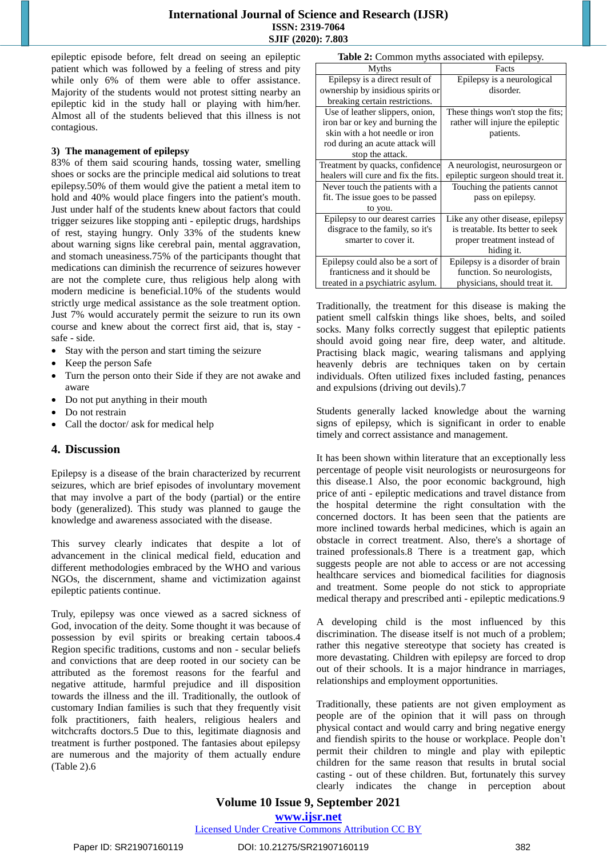epileptic episode before, felt dread on seeing an epileptic patient which was followed by a feeling of stress and pity while only 6% of them were able to offer assistance. Majority of the students would not protest sitting nearby an epileptic kid in the study hall or playing with him/her. Almost all of the students believed that this illness is not contagious.

#### **3) The management of epilepsy**

83% of them said scouring hands, tossing water, smelling shoes or socks are the principle medical aid solutions to treat epilepsy.50% of them would give the patient a metal item to hold and 40% would place fingers into the patient's mouth. Just under half of the students knew about factors that could trigger seizures like stopping anti - epileptic drugs, hardships of rest, staying hungry. Only 33% of the students knew about warning signs like cerebral pain, mental aggravation, and stomach uneasiness.75% of the participants thought that medications can diminish the recurrence of seizures however are not the complete cure, thus religious help along with modern medicine is beneficial.10% of the students would strictly urge medical assistance as the sole treatment option. Just 7% would accurately permit the seizure to run its own course and knew about the correct first aid, that is, stay safe - side.

- Stay with the person and start timing the seizure
- Keep the person Safe
- Turn the person onto their Side if they are not awake and aware
- Do not put anything in their mouth
- Do not restrain
- Call the doctor/ ask for medical help

## **4. Discussion**

Epilepsy is a disease of the brain characterized by recurrent seizures, which are brief episodes of involuntary movement that may involve a part of the body (partial) or the entire body (generalized). This study was planned to gauge the knowledge and awareness associated with the disease.

This survey clearly indicates that despite a lot of advancement in the clinical medical field, education and different methodologies embraced by the WHO and various NGOs, the discernment, shame and victimization against epileptic patients continue.

Truly, epilepsy was once viewed as a sacred sickness of God, invocation of the deity. Some thought it was because of possession by evil spirits or breaking certain taboos.4 Region specific traditions, customs and non - secular beliefs and convictions that are deep rooted in our society can be attributed as the foremost reasons for the fearful and negative attitude, harmful prejudice and ill disposition towards the illness and the ill. Traditionally, the outlook of customary Indian families is such that they frequently visit folk practitioners, faith healers, religious healers and witchcrafts doctors.5 Due to this, legitimate diagnosis and treatment is further postponed. The fantasies about epilepsy are numerous and the majority of them actually endure (Table 2).6

|  | Table 2: Common myths associated with epilepsy. |  |
|--|-------------------------------------------------|--|
|  |                                                 |  |

| <b>rable 2.</b> Common myths associated with epilepsy. |                                    |  |  |  |  |  |
|--------------------------------------------------------|------------------------------------|--|--|--|--|--|
| Myths                                                  | Facts                              |  |  |  |  |  |
| Epilepsy is a direct result of                         | Epilepsy is a neurological         |  |  |  |  |  |
| ownership by insidious spirits or                      | disorder.                          |  |  |  |  |  |
| breaking certain restrictions.                         |                                    |  |  |  |  |  |
| Use of leather slippers, onion,                        | These things won't stop the fits;  |  |  |  |  |  |
| iron bar or key and burning the                        | rather will injure the epileptic   |  |  |  |  |  |
| skin with a hot needle or iron                         | patients.                          |  |  |  |  |  |
| rod during an acute attack will                        |                                    |  |  |  |  |  |
| stop the attack.                                       |                                    |  |  |  |  |  |
| Treatment by quacks, confidence                        | A neurologist, neurosurgeon or     |  |  |  |  |  |
| healers will cure and fix the fits.                    | epileptic surgeon should treat it. |  |  |  |  |  |
| Never touch the patients with a                        | Touching the patients cannot       |  |  |  |  |  |
| fit. The issue goes to be passed                       | pass on epilepsy.                  |  |  |  |  |  |
| to you.                                                |                                    |  |  |  |  |  |
| Epilepsy to our dearest carries                        | Like any other disease, epilepsy   |  |  |  |  |  |
| disgrace to the family, so it's                        | is treatable. Its better to seek   |  |  |  |  |  |
| smarter to cover it.                                   | proper treatment instead of        |  |  |  |  |  |
|                                                        | hiding it.                         |  |  |  |  |  |
| Epilepsy could also be a sort of                       | Epilepsy is a disorder of brain    |  |  |  |  |  |
| franticness and it should be                           | function. So neurologists,         |  |  |  |  |  |
| treated in a psychiatric asylum.                       | physicians, should treat it.       |  |  |  |  |  |

Traditionally, the treatment for this disease is making the patient smell calfskin things like shoes, belts, and soiled socks. Many folks correctly suggest that epileptic patients should avoid going near fire, deep water, and altitude. Practising black magic, wearing talismans and applying heavenly debris are techniques taken on by certain individuals. Often utilized fixes included fasting, penances and expulsions (driving out devils).7

Students generally lacked knowledge about the warning signs of epilepsy, which is significant in order to enable timely and correct assistance and management.

It has been shown within literature that an exceptionally less percentage of people visit neurologists or neurosurgeons for this disease.1 Also, the poor economic background, high price of anti - epileptic medications and travel distance from the hospital determine the right consultation with the concerned doctors. It has been seen that the patients are more inclined towards herbal medicines, which is again an obstacle in correct treatment. Also, there's a shortage of trained professionals.8 There is a treatment gap, which suggests people are not able to access or are not accessing healthcare services and biomedical facilities for diagnosis and treatment. Some people do not stick to appropriate medical therapy and prescribed anti - epileptic medications.9

A developing child is the most influenced by this discrimination. The disease itself is not much of a problem; rather this negative stereotype that society has created is more devastating. Children with epilepsy are forced to drop out of their schools. It is a major hindrance in marriages, relationships and employment opportunities.

Traditionally, these patients are not given employment as people are of the opinion that it will pass on through physical contact and would carry and bring negative energy and fiendish spirits to the house or workplace. People don't permit their children to mingle and play with epileptic children for the same reason that results in brutal social casting - out of these children. But, fortunately this survey clearly indicates the change in perception about

## **Volume 10 Issue 9, September 2021**

**www.ijsr.net**